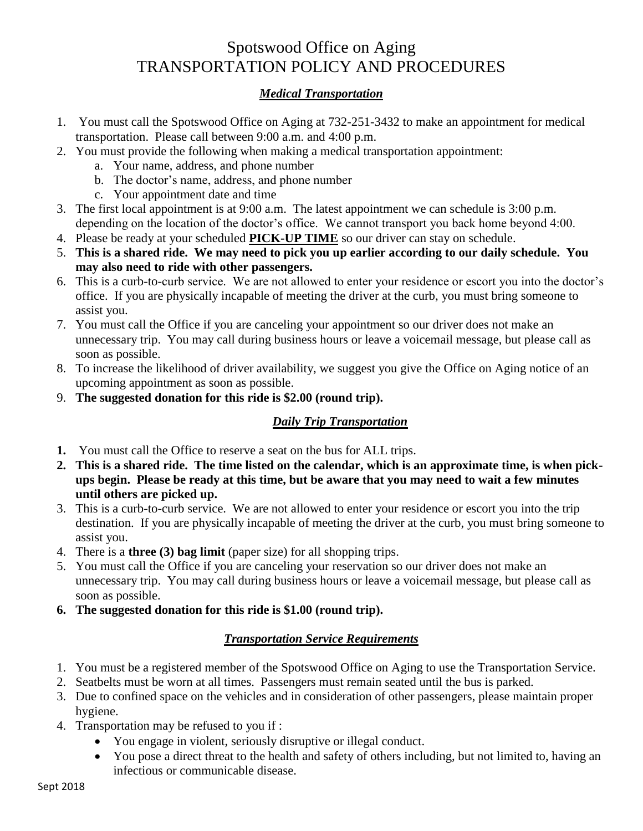## Spotswood Office on Aging TRANSPORTATION POLICY AND PROCEDURES

## *Medical Transportation*

- 1. You must call the Spotswood Office on Aging at 732-251-3432 to make an appointment for medical transportation. Please call between 9:00 a.m. and 4:00 p.m.
- 2. You must provide the following when making a medical transportation appointment:
	- a. Your name, address, and phone number
	- b. The doctor's name, address, and phone number
	- c. Your appointment date and time
- 3. The first local appointment is at 9:00 a.m. The latest appointment we can schedule is 3:00 p.m. depending on the location of the doctor's office. We cannot transport you back home beyond 4:00.
- 4. Please be ready at your scheduled **PICK-UP TIME** so our driver can stay on schedule.
- 5. **This is a shared ride. We may need to pick you up earlier according to our daily schedule. You may also need to ride with other passengers.**
- 6. This is a curb-to-curb service. We are not allowed to enter your residence or escort you into the doctor's office. If you are physically incapable of meeting the driver at the curb, you must bring someone to assist you.
- 7. You must call the Office if you are canceling your appointment so our driver does not make an unnecessary trip. You may call during business hours or leave a voicemail message, but please call as soon as possible.
- 8. To increase the likelihood of driver availability, we suggest you give the Office on Aging notice of an upcoming appointment as soon as possible.
- 9. **The suggested donation for this ride is \$2.00 (round trip).**

## *Daily Trip Transportation*

- **1.** You must call the Office to reserve a seat on the bus for ALL trips.
- **2. This is a shared ride. The time listed on the calendar, which is an approximate time, is when pickups begin. Please be ready at this time, but be aware that you may need to wait a few minutes until others are picked up.**
- 3. This is a curb-to-curb service. We are not allowed to enter your residence or escort you into the trip destination. If you are physically incapable of meeting the driver at the curb, you must bring someone to assist you.
- 4. There is a **three (3) bag limit** (paper size) for all shopping trips.
- 5. You must call the Office if you are canceling your reservation so our driver does not make an unnecessary trip. You may call during business hours or leave a voicemail message, but please call as soon as possible.
- **6. The suggested donation for this ride is \$1.00 (round trip).**

## *Transportation Service Requirements*

- 1. You must be a registered member of the Spotswood Office on Aging to use the Transportation Service.
- 2. Seatbelts must be worn at all times. Passengers must remain seated until the bus is parked.
- 3. Due to confined space on the vehicles and in consideration of other passengers, please maintain proper hygiene.
- 4. Transportation may be refused to you if :
	- You engage in violent, seriously disruptive or illegal conduct.
	- You pose a direct threat to the health and safety of others including, but not limited to, having an infectious or communicable disease.